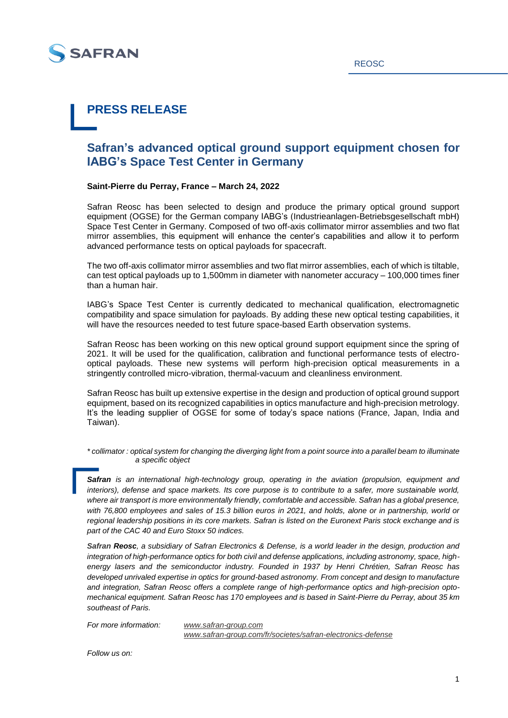

## **PRESS RELEASE**

## **Safran's advanced optical ground support equipment chosen for IABG's Space Test Center in Germany**

## **Saint-Pierre du Perray, France – March 24, 2022**

Safran Reosc has been selected to design and produce the primary optical ground support equipment (OGSE) for the German company IABG's (Industrieanlagen-Betriebsgesellschaft mbH) Space Test Center in Germany. Composed of two off-axis collimator mirror assemblies and two flat mirror assemblies, this equipment will enhance the center's capabilities and allow it to perform advanced performance tests on optical payloads for spacecraft.

The two off-axis collimator mirror assemblies and two flat mirror assemblies, each of which is tiltable, can test optical payloads up to 1,500mm in diameter with nanometer accuracy – 100,000 times finer than a human hair.

IABG's Space Test Center is currently dedicated to mechanical qualification, electromagnetic compatibility and space simulation for payloads. By adding these new optical testing capabilities, it will have the resources needed to test future space-based Earth observation systems.

Safran Reosc has been working on this new optical ground support equipment since the spring of 2021. It will be used for the qualification, calibration and functional performance tests of electrooptical payloads. These new systems will perform high-precision optical measurements in a stringently controlled micro-vibration, thermal-vacuum and cleanliness environment.

Safran Reosc has built up extensive expertise in the design and production of optical ground support equipment, based on its recognized capabilities in optics manufacture and high-precision metrology. It's the leading supplier of OGSE for some of today's space nations (France, Japan, India and Taiwan).

*\* collimator : optical system for changing the diverging light from a point source into a parallel beam to illuminate a specific object*

*Safran is an international high-technology group, operating in the aviation (propulsion, equipment and interiors), defense and space markets. Its core purpose is to contribute to a safer, more sustainable world,*  where air transport is more environmentally friendly, comfortable and accessible. Safran has a global presence, *with 76,800 employees and sales of 15.3 billion euros in 2021, and holds, alone or in partnership, world or regional leadership positions in its core markets. Safran is listed on the Euronext Paris stock exchange and is part of the CAC 40 and Euro Stoxx 50 indices.*

*Safran Reosc, a subsidiary of Safran Electronics & Defense, is a world leader in the design, production and integration of high-performance optics for both civil and defense applications, including astronomy, space, highenergy lasers and the semiconductor industry. Founded in 1937 by Henri Chrétien, Safran Reosc has developed unrivaled expertise in optics for ground-based astronomy. From concept and design to manufacture and integration, Safran Reosc offers a complete range of high-performance optics and high-precision optomechanical equipment. Safran Reosc has 170 employees and is based in Saint-Pierre du Perray, about 35 km southeast of Paris.*

*For more information: [www.safran-group.com](http://www.safran-group.com/)*

*[www.safran-group.com/fr/societes/safran-electronics-defense](http://www.safran-group.com/fr/societes/safran-electronics-defense)*

*Follow us on:*